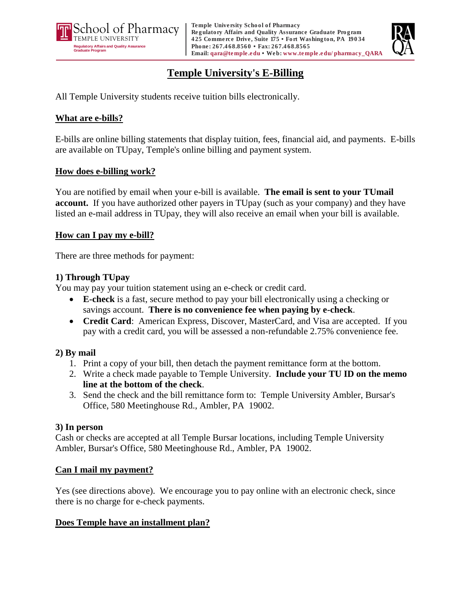



# **Temple University's E-Billing**

All Temple University students receive tuition bills electronically.

## **What are e-bills?**

E-bills are online billing statements that display tuition, fees, financial aid, and payments. E-bills are available on TUpay, Temple's online billing and payment system.

#### **How does e-billing work?**

You are notified by email when your e-bill is available. **The email is sent to your TUmail account.** If you have authorized other payers in TUpay (such as your company) and they have listed an e-mail address in TUpay, they will also receive an email when your bill is available.

#### **How can I pay my e-bill?**

There are three methods for payment:

## **1) Through TUpay**

You may pay your tuition statement using an e-check or credit card.

- **E-check** is a fast, secure method to pay your bill electronically using a checking or savings account. **There is no convenience fee when paying by e-check**.
- **Credit Card**: American Express, Discover, MasterCard, and Visa are accepted. If you pay with a credit card, you will be assessed a non-refundable 2.75% convenience fee.

# **2) By mail**

- 1. Print a copy of your bill, then detach the payment remittance form at the bottom.
- 2. Write a check made payable to Temple University. **Include your TU ID on the memo line at the bottom of the check**.
- 3. Send the check and the bill remittance form to: Temple University Ambler, Bursar's Office, 580 Meetinghouse Rd., Ambler, PA 19002.

#### **3) In person**

Cash or checks are accepted at all Temple Bursar locations, including Temple University Ambler, Bursar's Office, 580 Meetinghouse Rd., Ambler, PA 19002.

#### **Can I mail my payment?**

Yes (see directions above). We encourage you to pay online with an electronic check, since there is no charge for e-check payments.

#### **Does Temple have an installment plan?**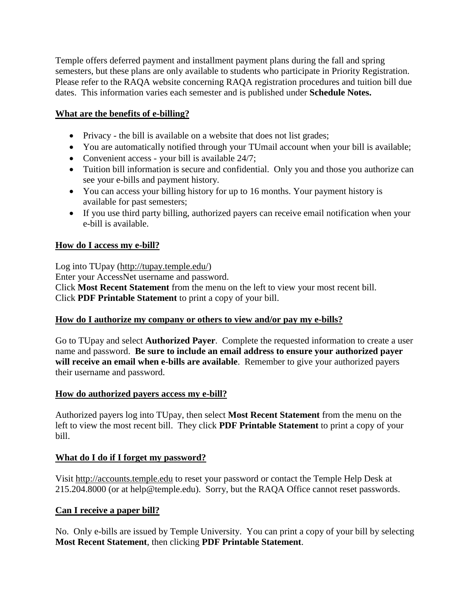Temple offers deferred payment and installment payment plans during the fall and spring semesters, but these plans are only available to students who participate in Priority Registration. Please refer to the RAQA website concerning RAQA registration procedures and tuition bill due dates. This information varies each semester and is published under **Schedule Notes.**

# **What are the benefits of e-billing?**

- Privacy the bill is available on a website that does not list grades;
- You are automatically notified through your TUmail account when your bill is available;
- Convenient access your bill is available 24/7;
- Tuition bill information is secure and confidential. Only you and those you authorize can see your e-bills and payment history.
- You can access your billing history for up to 16 months. Your payment history is available for past semesters;
- If you use third party billing, authorized payers can receive email notification when your e-bill is available.

## **How do I access my e-bill?**

Log into TUpay (http://tupay.temple.edu/) Enter your AccessNet username and password. Click **Most Recent Statement** from the menu on the left to view your most recent bill. Click **PDF Printable Statement** to print a copy of your bill.

#### **How do I authorize my company or others to view and/or pay my e-bills?**

Go to TUpay and select **Authorized Payer**. Complete the requested information to create a user name and password. **Be sure to include an email address to ensure your authorized payer will receive an email when e-bills are available**. Remember to give your authorized payers their username and password.

#### **How do authorized payers access my e-bill?**

Authorized payers log into TUpay, then select **Most Recent Statement** from the menu on the left to view the most recent bill. They click **PDF Printable Statement** to print a copy of your bill.

#### **What do I do if I forget my password?**

Visit http://accounts.temple.edu to reset your password or contact the Temple Help Desk at 215.204.8000 (or at help@temple.edu). Sorry, but the RAQA Office cannot reset passwords.

#### **Can I receive a paper bill?**

No. Only e-bills are issued by Temple University. You can print a copy of your bill by selecting **Most Recent Statement**, then clicking **PDF Printable Statement**.